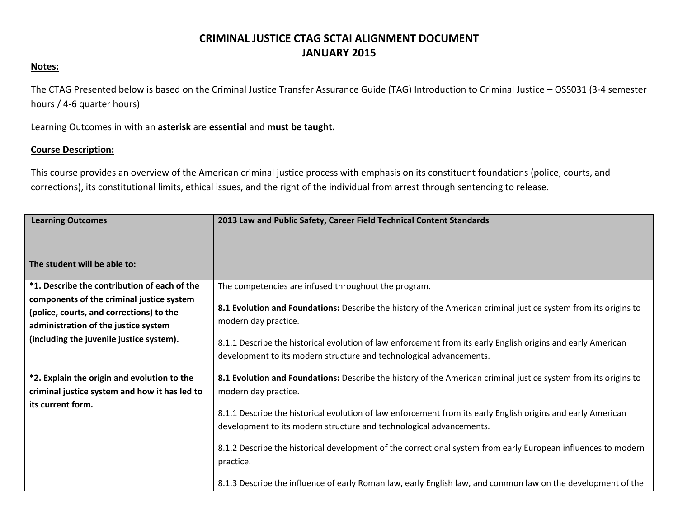## **CRIMINAL JUSTICE CTAG SCTAI ALIGNMENT DOCUMENT JANUARY 2015**

## **Notes:**

The CTAG Presented below is based on the Criminal Justice Transfer Assurance Guide (TAG) Introduction to Criminal Justice – OSS031 (3-4 semester hours / 4-6 quarter hours)

Learning Outcomes in with an **asterisk** are **essential** and **must be taught.**

## **Course Description:**

This course provides an overview of the American criminal justice process with emphasis on its constituent foundations (police, courts, and corrections), its constitutional limits, ethical issues, and the right of the individual from arrest through sentencing to release.

| <b>Learning Outcomes</b>                                                                                                                                                  | 2013 Law and Public Safety, Career Field Technical Content Standards                                                                                                                                                                                                                                                                                                                                                              |
|---------------------------------------------------------------------------------------------------------------------------------------------------------------------------|-----------------------------------------------------------------------------------------------------------------------------------------------------------------------------------------------------------------------------------------------------------------------------------------------------------------------------------------------------------------------------------------------------------------------------------|
|                                                                                                                                                                           |                                                                                                                                                                                                                                                                                                                                                                                                                                   |
| The student will be able to:                                                                                                                                              |                                                                                                                                                                                                                                                                                                                                                                                                                                   |
| *1. Describe the contribution of each of the                                                                                                                              | The competencies are infused throughout the program.                                                                                                                                                                                                                                                                                                                                                                              |
| components of the criminal justice system<br>(police, courts, and corrections) to the<br>administration of the justice system<br>(including the juvenile justice system). | 8.1 Evolution and Foundations: Describe the history of the American criminal justice system from its origins to<br>modern day practice.<br>8.1.1 Describe the historical evolution of law enforcement from its early English origins and early American<br>development to its modern structure and technological advancements.                                                                                                    |
| *2. Explain the origin and evolution to the                                                                                                                               | 8.1 Evolution and Foundations: Describe the history of the American criminal justice system from its origins to                                                                                                                                                                                                                                                                                                                   |
| criminal justice system and how it has led to                                                                                                                             | modern day practice.                                                                                                                                                                                                                                                                                                                                                                                                              |
| its current form.                                                                                                                                                         | 8.1.1 Describe the historical evolution of law enforcement from its early English origins and early American<br>development to its modern structure and technological advancements.<br>8.1.2 Describe the historical development of the correctional system from early European influences to modern<br>practice.<br>8.1.3 Describe the influence of early Roman law, early English law, and common law on the development of the |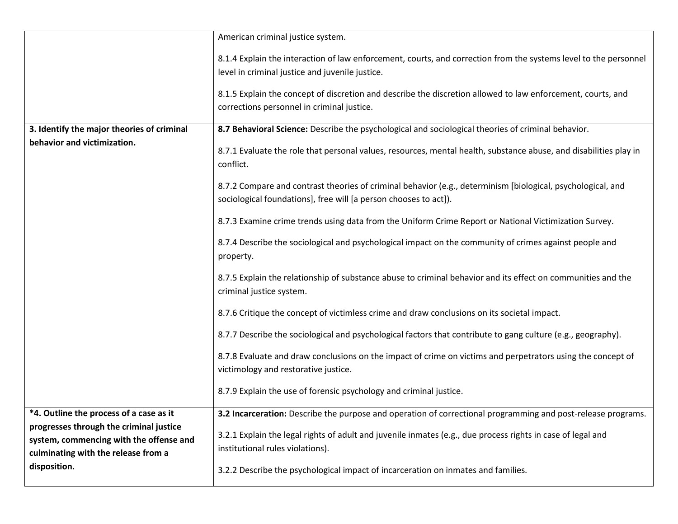|                                            | American criminal justice system.                                                                                 |
|--------------------------------------------|-------------------------------------------------------------------------------------------------------------------|
|                                            |                                                                                                                   |
|                                            | 8.1.4 Explain the interaction of law enforcement, courts, and correction from the systems level to the personnel  |
|                                            | level in criminal justice and juvenile justice.                                                                   |
|                                            |                                                                                                                   |
|                                            | 8.1.5 Explain the concept of discretion and describe the discretion allowed to law enforcement, courts, and       |
|                                            | corrections personnel in criminal justice.                                                                        |
|                                            |                                                                                                                   |
| 3. Identify the major theories of criminal | 8.7 Behavioral Science: Describe the psychological and sociological theories of criminal behavior.                |
| behavior and victimization.                |                                                                                                                   |
|                                            | 8.7.1 Evaluate the role that personal values, resources, mental health, substance abuse, and disabilities play in |
|                                            | conflict.                                                                                                         |
|                                            |                                                                                                                   |
|                                            | 8.7.2 Compare and contrast theories of criminal behavior (e.g., determinism [biological, psychological, and       |
|                                            | sociological foundations], free will [a person chooses to act]).                                                  |
|                                            | 8.7.3 Examine crime trends using data from the Uniform Crime Report or National Victimization Survey.             |
|                                            |                                                                                                                   |
|                                            | 8.7.4 Describe the sociological and psychological impact on the community of crimes against people and            |
|                                            | property.                                                                                                         |
|                                            |                                                                                                                   |
|                                            | 8.7.5 Explain the relationship of substance abuse to criminal behavior and its effect on communities and the      |
|                                            | criminal justice system.                                                                                          |
|                                            |                                                                                                                   |
|                                            | 8.7.6 Critique the concept of victimless crime and draw conclusions on its societal impact.                       |
|                                            | 8.7.7 Describe the sociological and psychological factors that contribute to gang culture (e.g., geography).      |
|                                            |                                                                                                                   |
|                                            | 8.7.8 Evaluate and draw conclusions on the impact of crime on victims and perpetrators using the concept of       |
|                                            | victimology and restorative justice.                                                                              |
|                                            |                                                                                                                   |
|                                            | 8.7.9 Explain the use of forensic psychology and criminal justice.                                                |
|                                            |                                                                                                                   |
| *4. Outline the process of a case as it    | 3.2 Incarceration: Describe the purpose and operation of correctional programming and post-release programs.      |
| progresses through the criminal justice    | 3.2.1 Explain the legal rights of adult and juvenile inmates (e.g., due process rights in case of legal and       |
| system, commencing with the offense and    |                                                                                                                   |
| culminating with the release from a        | institutional rules violations).                                                                                  |
| disposition.                               | 3.2.2 Describe the psychological impact of incarceration on inmates and families.                                 |
|                                            |                                                                                                                   |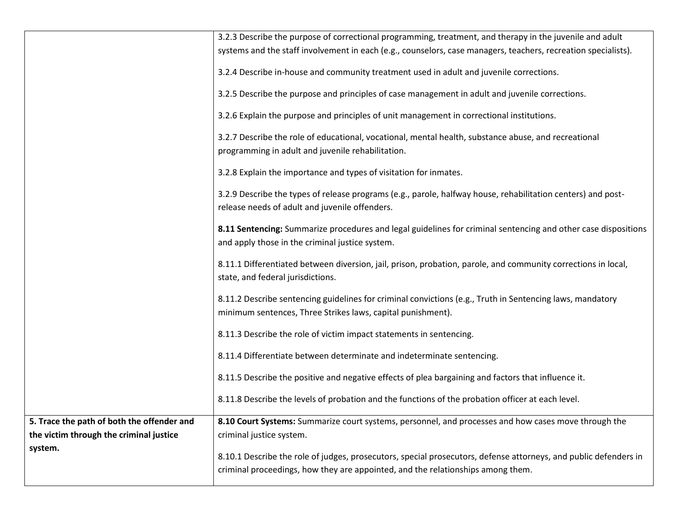|                                                                                       | 3.2.3 Describe the purpose of correctional programming, treatment, and therapy in the juvenile and adult<br>systems and the staff involvement in each (e.g., counselors, case managers, teachers, recreation specialists). |
|---------------------------------------------------------------------------------------|----------------------------------------------------------------------------------------------------------------------------------------------------------------------------------------------------------------------------|
|                                                                                       | 3.2.4 Describe in-house and community treatment used in adult and juvenile corrections.                                                                                                                                    |
|                                                                                       | 3.2.5 Describe the purpose and principles of case management in adult and juvenile corrections.                                                                                                                            |
|                                                                                       | 3.2.6 Explain the purpose and principles of unit management in correctional institutions.                                                                                                                                  |
|                                                                                       | 3.2.7 Describe the role of educational, vocational, mental health, substance abuse, and recreational<br>programming in adult and juvenile rehabilitation.                                                                  |
|                                                                                       | 3.2.8 Explain the importance and types of visitation for inmates.                                                                                                                                                          |
|                                                                                       | 3.2.9 Describe the types of release programs (e.g., parole, halfway house, rehabilitation centers) and post-<br>release needs of adult and juvenile offenders.                                                             |
|                                                                                       | 8.11 Sentencing: Summarize procedures and legal guidelines for criminal sentencing and other case dispositions<br>and apply those in the criminal justice system.                                                          |
|                                                                                       | 8.11.1 Differentiated between diversion, jail, prison, probation, parole, and community corrections in local,<br>state, and federal jurisdictions.                                                                         |
|                                                                                       | 8.11.2 Describe sentencing guidelines for criminal convictions (e.g., Truth in Sentencing laws, mandatory<br>minimum sentences, Three Strikes laws, capital punishment).                                                   |
|                                                                                       | 8.11.3 Describe the role of victim impact statements in sentencing.                                                                                                                                                        |
|                                                                                       | 8.11.4 Differentiate between determinate and indeterminate sentencing.                                                                                                                                                     |
|                                                                                       | 8.11.5 Describe the positive and negative effects of plea bargaining and factors that influence it.                                                                                                                        |
|                                                                                       | 8.11.8 Describe the levels of probation and the functions of the probation officer at each level.                                                                                                                          |
| 5. Trace the path of both the offender and<br>the victim through the criminal justice | 8.10 Court Systems: Summarize court systems, personnel, and processes and how cases move through the<br>criminal justice system.                                                                                           |
| system.                                                                               | 8.10.1 Describe the role of judges, prosecutors, special prosecutors, defense attorneys, and public defenders in<br>criminal proceedings, how they are appointed, and the relationships among them.                        |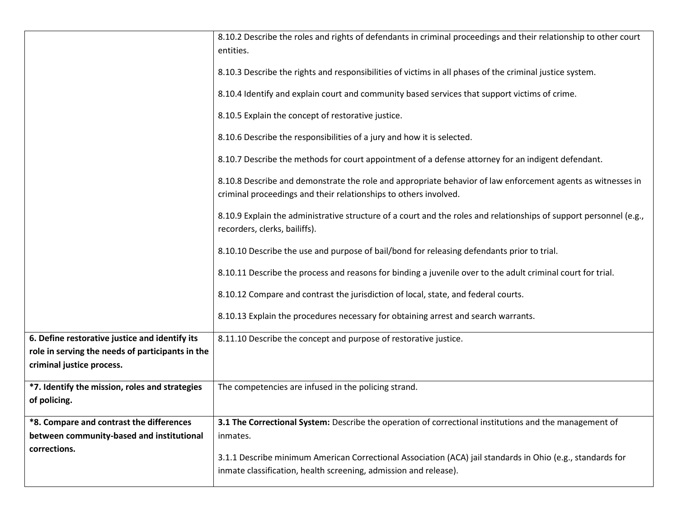|                                                                                                                                 | 8.10.2 Describe the roles and rights of defendants in criminal proceedings and their relationship to other court<br>entities.<br>8.10.3 Describe the rights and responsibilities of victims in all phases of the criminal justice system.<br>8.10.4 Identify and explain court and community based services that support victims of crime.<br>8.10.5 Explain the concept of restorative justice.<br>8.10.6 Describe the responsibilities of a jury and how it is selected.<br>8.10.7 Describe the methods for court appointment of a defense attorney for an indigent defendant.<br>8.10.8 Describe and demonstrate the role and appropriate behavior of law enforcement agents as witnesses in<br>criminal proceedings and their relationships to others involved.<br>8.10.9 Explain the administrative structure of a court and the roles and relationships of support personnel (e.g.,<br>recorders, clerks, bailiffs).<br>8.10.10 Describe the use and purpose of bail/bond for releasing defendants prior to trial.<br>8.10.11 Describe the process and reasons for binding a juvenile over to the adult criminal court for trial. |
|---------------------------------------------------------------------------------------------------------------------------------|-----------------------------------------------------------------------------------------------------------------------------------------------------------------------------------------------------------------------------------------------------------------------------------------------------------------------------------------------------------------------------------------------------------------------------------------------------------------------------------------------------------------------------------------------------------------------------------------------------------------------------------------------------------------------------------------------------------------------------------------------------------------------------------------------------------------------------------------------------------------------------------------------------------------------------------------------------------------------------------------------------------------------------------------------------------------------------------------------------------------------------------------|
|                                                                                                                                 | 8.10.12 Compare and contrast the jurisdiction of local, state, and federal courts.<br>8.10.13 Explain the procedures necessary for obtaining arrest and search warrants.                                                                                                                                                                                                                                                                                                                                                                                                                                                                                                                                                                                                                                                                                                                                                                                                                                                                                                                                                                |
| 6. Define restorative justice and identify its<br>role in serving the needs of participants in the<br>criminal justice process. | 8.11.10 Describe the concept and purpose of restorative justice.                                                                                                                                                                                                                                                                                                                                                                                                                                                                                                                                                                                                                                                                                                                                                                                                                                                                                                                                                                                                                                                                        |
| *7. Identify the mission, roles and strategies<br>of policing.                                                                  | The competencies are infused in the policing strand.                                                                                                                                                                                                                                                                                                                                                                                                                                                                                                                                                                                                                                                                                                                                                                                                                                                                                                                                                                                                                                                                                    |
|                                                                                                                                 |                                                                                                                                                                                                                                                                                                                                                                                                                                                                                                                                                                                                                                                                                                                                                                                                                                                                                                                                                                                                                                                                                                                                         |
| *8. Compare and contrast the differences<br>between community-based and institutional                                           | 3.1 The Correctional System: Describe the operation of correctional institutions and the management of<br>inmates.                                                                                                                                                                                                                                                                                                                                                                                                                                                                                                                                                                                                                                                                                                                                                                                                                                                                                                                                                                                                                      |
| corrections.                                                                                                                    | 3.1.1 Describe minimum American Correctional Association (ACA) jail standards in Ohio (e.g., standards for<br>inmate classification, health screening, admission and release).                                                                                                                                                                                                                                                                                                                                                                                                                                                                                                                                                                                                                                                                                                                                                                                                                                                                                                                                                          |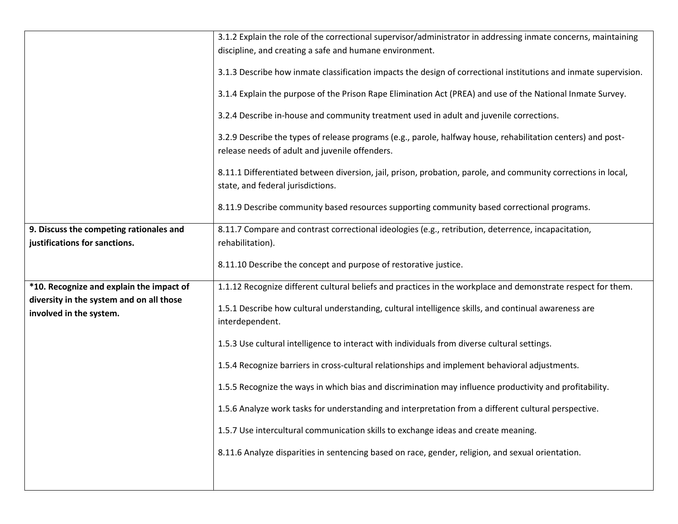|                                          | 3.1.2 Explain the role of the correctional supervisor/administrator in addressing inmate concerns, maintaining                                                 |
|------------------------------------------|----------------------------------------------------------------------------------------------------------------------------------------------------------------|
|                                          | discipline, and creating a safe and humane environment.                                                                                                        |
|                                          | 3.1.3 Describe how inmate classification impacts the design of correctional institutions and inmate supervision.                                               |
|                                          | 3.1.4 Explain the purpose of the Prison Rape Elimination Act (PREA) and use of the National Inmate Survey.                                                     |
|                                          | 3.2.4 Describe in-house and community treatment used in adult and juvenile corrections.                                                                        |
|                                          | 3.2.9 Describe the types of release programs (e.g., parole, halfway house, rehabilitation centers) and post-<br>release needs of adult and juvenile offenders. |
|                                          |                                                                                                                                                                |
|                                          | 8.11.1 Differentiated between diversion, jail, prison, probation, parole, and community corrections in local,<br>state, and federal jurisdictions.             |
|                                          | 8.11.9 Describe community based resources supporting community based correctional programs.                                                                    |
| 9. Discuss the competing rationales and  | 8.11.7 Compare and contrast correctional ideologies (e.g., retribution, deterrence, incapacitation,                                                            |
| justifications for sanctions.            | rehabilitation).                                                                                                                                               |
|                                          |                                                                                                                                                                |
|                                          | 8.11.10 Describe the concept and purpose of restorative justice.                                                                                               |
| *10. Recognize and explain the impact of | 1.1.12 Recognize different cultural beliefs and practices in the workplace and demonstrate respect for them.                                                   |
| diversity in the system and on all those |                                                                                                                                                                |
| involved in the system.                  | 1.5.1 Describe how cultural understanding, cultural intelligence skills, and continual awareness are<br>interdependent.                                        |
|                                          |                                                                                                                                                                |
|                                          | 1.5.3 Use cultural intelligence to interact with individuals from diverse cultural settings.                                                                   |
|                                          | 1.5.4 Recognize barriers in cross-cultural relationships and implement behavioral adjustments.                                                                 |
|                                          | 1.5.5 Recognize the ways in which bias and discrimination may influence productivity and profitability.                                                        |
|                                          | 1.5.6 Analyze work tasks for understanding and interpretation from a different cultural perspective.                                                           |
|                                          | 1.5.7 Use intercultural communication skills to exchange ideas and create meaning.                                                                             |
|                                          | 8.11.6 Analyze disparities in sentencing based on race, gender, religion, and sexual orientation.                                                              |
|                                          |                                                                                                                                                                |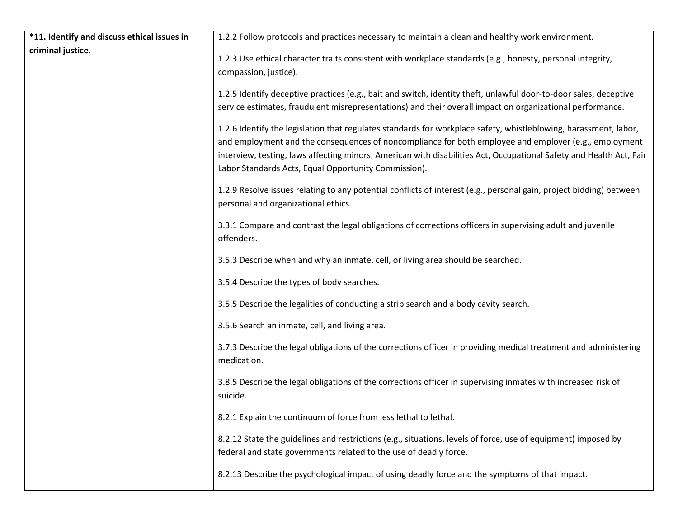| *11. Identify and discuss ethical issues in | 1.2.2 Follow protocols and practices necessary to maintain a clean and healthy work environment.                                                                                                                                                                                                                                                                                                         |
|---------------------------------------------|----------------------------------------------------------------------------------------------------------------------------------------------------------------------------------------------------------------------------------------------------------------------------------------------------------------------------------------------------------------------------------------------------------|
| criminal justice.                           | 1.2.3 Use ethical character traits consistent with workplace standards (e.g., honesty, personal integrity,<br>compassion, justice).                                                                                                                                                                                                                                                                      |
|                                             | 1.2.5 Identify deceptive practices (e.g., bait and switch, identity theft, unlawful door-to-door sales, deceptive<br>service estimates, fraudulent misrepresentations) and their overall impact on organizational performance.                                                                                                                                                                           |
|                                             | 1.2.6 Identify the legislation that regulates standards for workplace safety, whistleblowing, harassment, labor,<br>and employment and the consequences of noncompliance for both employee and employer (e.g., employment<br>interview, testing, laws affecting minors, American with disabilities Act, Occupational Safety and Health Act, Fair<br>Labor Standards Acts, Equal Opportunity Commission). |
|                                             | 1.2.9 Resolve issues relating to any potential conflicts of interest (e.g., personal gain, project bidding) between<br>personal and organizational ethics.                                                                                                                                                                                                                                               |
|                                             | 3.3.1 Compare and contrast the legal obligations of corrections officers in supervising adult and juvenile<br>offenders.                                                                                                                                                                                                                                                                                 |
|                                             | 3.5.3 Describe when and why an inmate, cell, or living area should be searched.                                                                                                                                                                                                                                                                                                                          |
|                                             | 3.5.4 Describe the types of body searches.                                                                                                                                                                                                                                                                                                                                                               |
|                                             | 3.5.5 Describe the legalities of conducting a strip search and a body cavity search.                                                                                                                                                                                                                                                                                                                     |
|                                             | 3.5.6 Search an inmate, cell, and living area.                                                                                                                                                                                                                                                                                                                                                           |
|                                             | 3.7.3 Describe the legal obligations of the corrections officer in providing medical treatment and administering<br>medication.                                                                                                                                                                                                                                                                          |
|                                             | 3.8.5 Describe the legal obligations of the corrections officer in supervising inmates with increased risk of<br>suicide.                                                                                                                                                                                                                                                                                |
|                                             | 8.2.1 Explain the continuum of force from less lethal to lethal.                                                                                                                                                                                                                                                                                                                                         |
|                                             | 8.2.12 State the guidelines and restrictions (e.g., situations, levels of force, use of equipment) imposed by<br>federal and state governments related to the use of deadly force.                                                                                                                                                                                                                       |
|                                             | 8.2.13 Describe the psychological impact of using deadly force and the symptoms of that impact.                                                                                                                                                                                                                                                                                                          |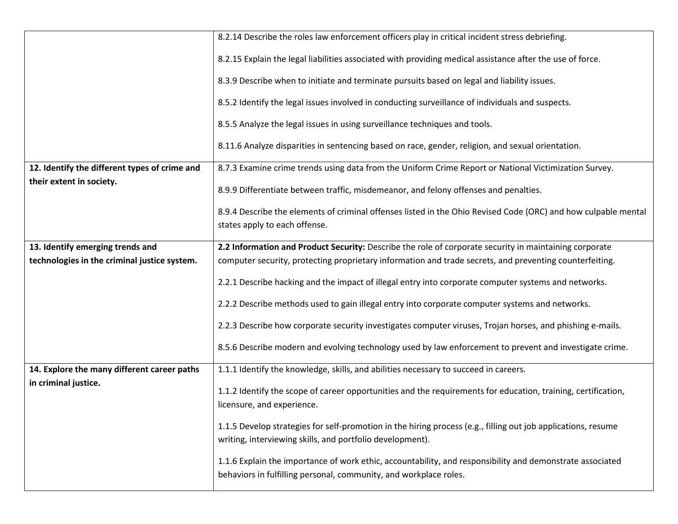|                                               | 8.2.14 Describe the roles law enforcement officers play in critical incident stress debriefing.                                                                                |
|-----------------------------------------------|--------------------------------------------------------------------------------------------------------------------------------------------------------------------------------|
|                                               | 8.2.15 Explain the legal liabilities associated with providing medical assistance after the use of force.                                                                      |
|                                               | 8.3.9 Describe when to initiate and terminate pursuits based on legal and liability issues.                                                                                    |
|                                               | 8.5.2 Identify the legal issues involved in conducting surveillance of individuals and suspects.                                                                               |
|                                               | 8.5.5 Analyze the legal issues in using surveillance techniques and tools.                                                                                                     |
|                                               | 8.11.6 Analyze disparities in sentencing based on race, gender, religion, and sexual orientation.                                                                              |
| 12. Identify the different types of crime and | 8.7.3 Examine crime trends using data from the Uniform Crime Report or National Victimization Survey.                                                                          |
| their extent in society.                      | 8.9.9 Differentiate between traffic, misdemeanor, and felony offenses and penalties.                                                                                           |
|                                               | 8.9.4 Describe the elements of criminal offenses listed in the Ohio Revised Code (ORC) and how culpable mental                                                                 |
|                                               | states apply to each offense.                                                                                                                                                  |
| 13. Identify emerging trends and              | 2.2 Information and Product Security: Describe the role of corporate security in maintaining corporate                                                                         |
| technologies in the criminal justice system.  | computer security, protecting proprietary information and trade secrets, and preventing counterfeiting.                                                                        |
|                                               | 2.2.1 Describe hacking and the impact of illegal entry into corporate computer systems and networks.                                                                           |
|                                               | 2.2.2 Describe methods used to gain illegal entry into corporate computer systems and networks.                                                                                |
|                                               | 2.2.3 Describe how corporate security investigates computer viruses, Trojan horses, and phishing e-mails.                                                                      |
|                                               | 8.5.6 Describe modern and evolving technology used by law enforcement to prevent and investigate crime.                                                                        |
| 14. Explore the many different career paths   | 1.1.1 Identify the knowledge, skills, and abilities necessary to succeed in careers.                                                                                           |
| in criminal justice.                          | 1.1.2 Identify the scope of career opportunities and the requirements for education, training, certification,                                                                  |
|                                               | licensure, and experience.                                                                                                                                                     |
|                                               | 1.1.5 Develop strategies for self-promotion in the hiring process (e.g., filling out job applications, resume                                                                  |
|                                               | writing, interviewing skills, and portfolio development).                                                                                                                      |
|                                               | 1.1.6 Explain the importance of work ethic, accountability, and responsibility and demonstrate associated<br>behaviors in fulfilling personal, community, and workplace roles. |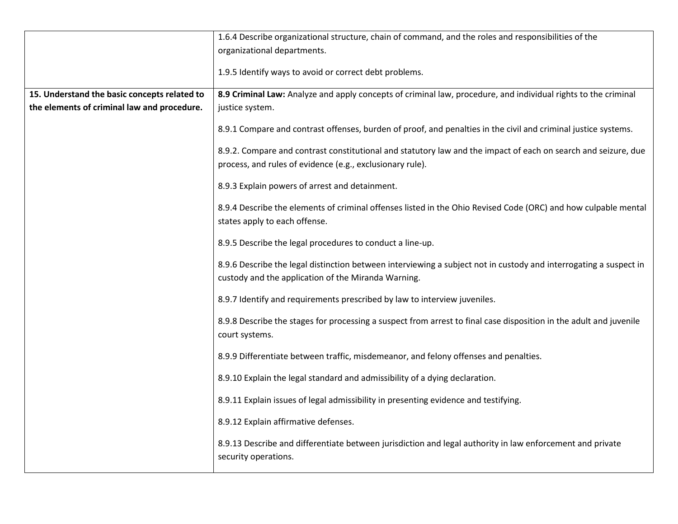|                                              | 1.6.4 Describe organizational structure, chain of command, and the roles and responsibilities of the                                                                        |
|----------------------------------------------|-----------------------------------------------------------------------------------------------------------------------------------------------------------------------------|
|                                              | organizational departments.                                                                                                                                                 |
|                                              | 1.9.5 Identify ways to avoid or correct debt problems.                                                                                                                      |
| 15. Understand the basic concepts related to | 8.9 Criminal Law: Analyze and apply concepts of criminal law, procedure, and individual rights to the criminal                                                              |
| the elements of criminal law and procedure.  | justice system.                                                                                                                                                             |
|                                              | 8.9.1 Compare and contrast offenses, burden of proof, and penalties in the civil and criminal justice systems.                                                              |
|                                              | 8.9.2. Compare and contrast constitutional and statutory law and the impact of each on search and seizure, due<br>process, and rules of evidence (e.g., exclusionary rule). |
|                                              | 8.9.3 Explain powers of arrest and detainment.                                                                                                                              |
|                                              | 8.9.4 Describe the elements of criminal offenses listed in the Ohio Revised Code (ORC) and how culpable mental                                                              |
|                                              | states apply to each offense.                                                                                                                                               |
|                                              | 8.9.5 Describe the legal procedures to conduct a line-up.                                                                                                                   |
|                                              | 8.9.6 Describe the legal distinction between interviewing a subject not in custody and interrogating a suspect in                                                           |
|                                              | custody and the application of the Miranda Warning.                                                                                                                         |
|                                              | 8.9.7 Identify and requirements prescribed by law to interview juveniles.                                                                                                   |
|                                              | 8.9.8 Describe the stages for processing a suspect from arrest to final case disposition in the adult and juvenile<br>court systems.                                        |
|                                              | 8.9.9 Differentiate between traffic, misdemeanor, and felony offenses and penalties.                                                                                        |
|                                              | 8.9.10 Explain the legal standard and admissibility of a dying declaration.                                                                                                 |
|                                              | 8.9.11 Explain issues of legal admissibility in presenting evidence and testifying.                                                                                         |
|                                              | 8.9.12 Explain affirmative defenses.                                                                                                                                        |
|                                              | 8.9.13 Describe and differentiate between jurisdiction and legal authority in law enforcement and private<br>security operations.                                           |